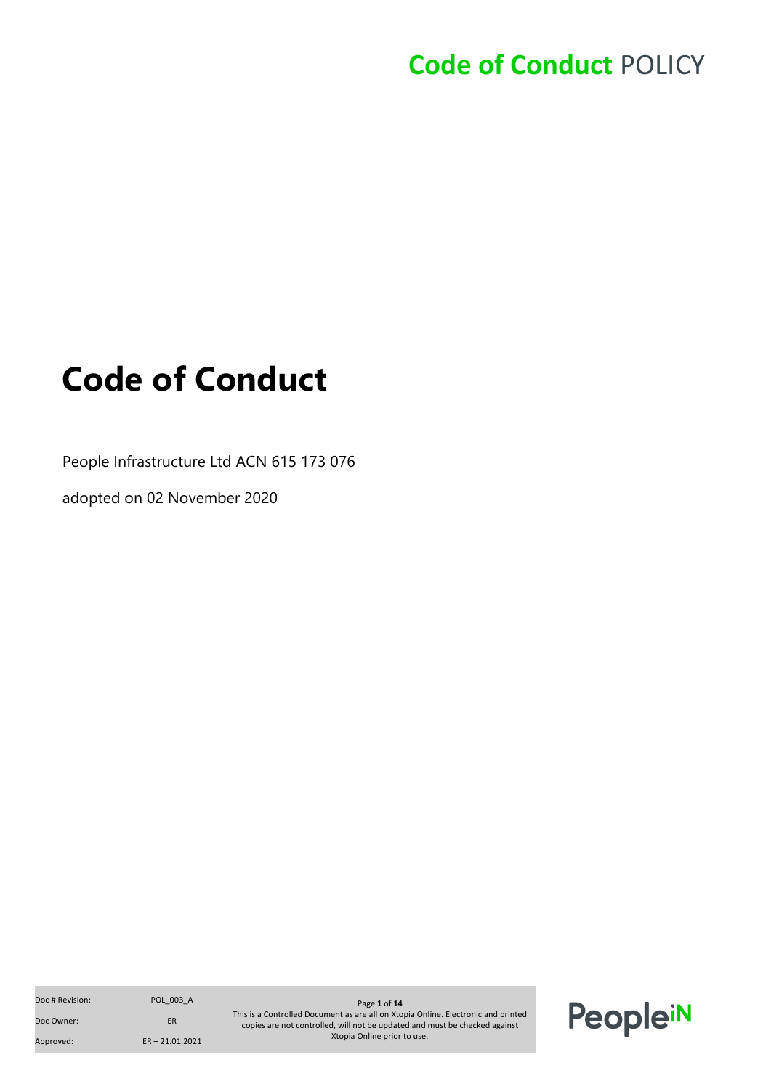# <span id="page-0-0"></span>**Code of Conduct**

People Infrastructure Ltd ACN 615 173 076

adopted on 02 November 2020

Doc Owner: ER Approved: ER – 21.01.2021

Doc # Revision: POL\_003\_A Page **1** of **14** Page **1** of **14** This is a Controlled Document as are all on Xtopia Online. Electronic and printed copies are not controlled, will not be updated and must be checked against Xtopia Online prior to use.

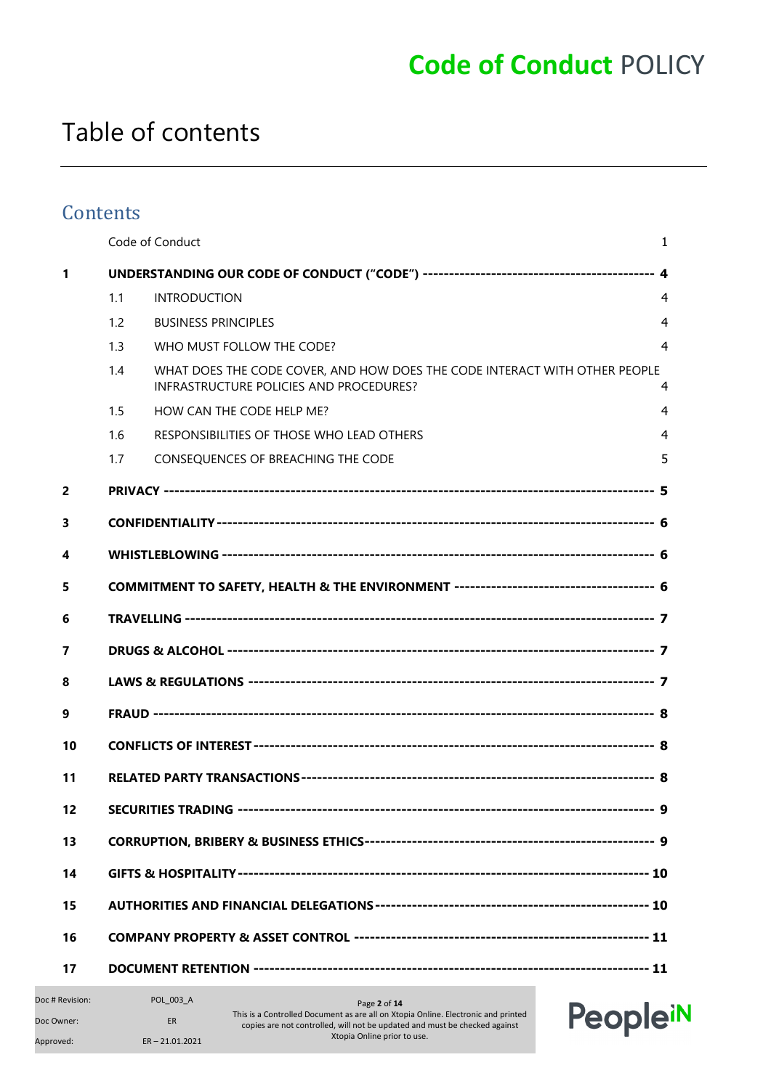### Table of contents

#### **Contents**

|                |     | Code of Conduct                                                                                                       | $\mathbf{1}$   |  |
|----------------|-----|-----------------------------------------------------------------------------------------------------------------------|----------------|--|
| 1              |     |                                                                                                                       |                |  |
|                | 1.1 | <b>INTRODUCTION</b>                                                                                                   | $\overline{4}$ |  |
|                | 1.2 | <b>BUSINESS PRINCIPLES</b>                                                                                            | $\overline{4}$ |  |
|                | 1.3 | WHO MUST FOLLOW THE CODE?                                                                                             | 4              |  |
|                | 1.4 | WHAT DOES THE CODE COVER, AND HOW DOES THE CODE INTERACT WITH OTHER PEOPLE<br>INFRASTRUCTURE POLICIES AND PROCEDURES? | 4              |  |
|                | 1.5 | HOW CAN THE CODE HELP ME?                                                                                             | 4              |  |
|                | 1.6 | RESPONSIBILITIES OF THOSE WHO LEAD OTHERS                                                                             | $\overline{4}$ |  |
|                | 1.7 | CONSEQUENCES OF BREACHING THE CODE                                                                                    | 5              |  |
| $\overline{2}$ |     |                                                                                                                       |                |  |
| 3              |     |                                                                                                                       |                |  |
| 4              |     |                                                                                                                       |                |  |
| 5              |     |                                                                                                                       |                |  |
| 6              |     |                                                                                                                       |                |  |
| 7              |     |                                                                                                                       |                |  |
| 8              |     |                                                                                                                       |                |  |
| 9              |     |                                                                                                                       |                |  |
| 10             |     |                                                                                                                       |                |  |
| 11             |     |                                                                                                                       |                |  |
| 12             |     |                                                                                                                       |                |  |
| 13             |     |                                                                                                                       |                |  |
| 14             |     |                                                                                                                       |                |  |
| 15             |     |                                                                                                                       |                |  |
| 16             |     |                                                                                                                       |                |  |
| 17             |     |                                                                                                                       |                |  |

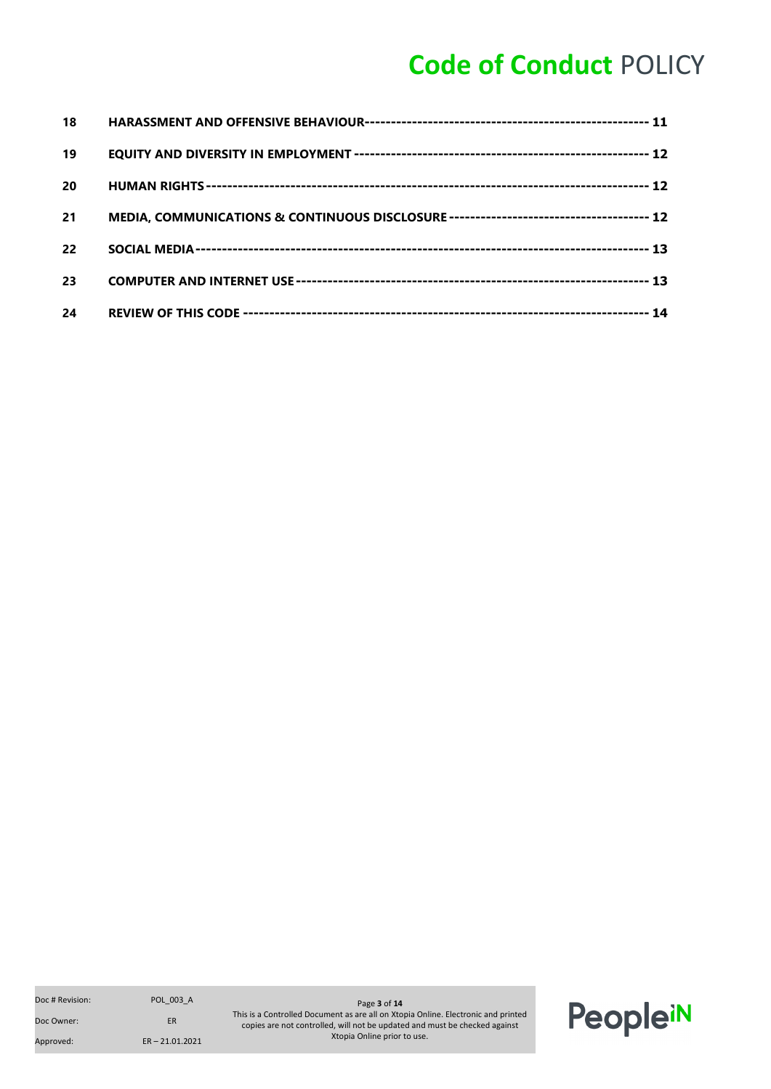| 18 |  |
|----|--|
| 19 |  |
| 20 |  |
| 21 |  |
| 22 |  |
| 23 |  |
| 24 |  |

Doc Owner: ER

Approved: ER – 21.01.2021

Doc # Revision: POL\_003\_A Page **3** of **14** This is a Controlled Document as are all on Xtopia Online. Electronic and printed copies are not controlled, will not be updated and must be checked against Xtopia Online prior to use.

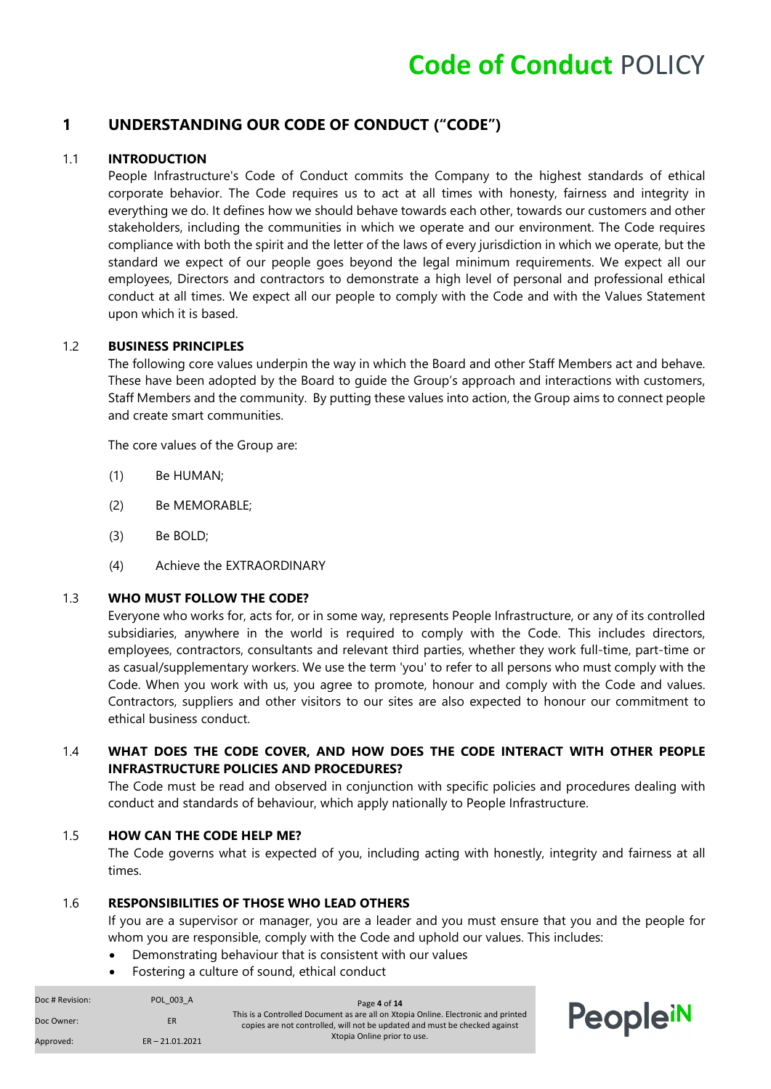#### <span id="page-3-0"></span>**1 UNDERSTANDING OUR CODE OF CONDUCT ("CODE")**

#### <span id="page-3-1"></span>1.1 **INTRODUCTION**

People Infrastructure's Code of Conduct commits the Company to the highest standards of ethical corporate behavior. The Code requires us to act at all times with honesty, fairness and integrity in everything we do. It defines how we should behave towards each other, towards our customers and other stakeholders, including the communities in which we operate and our environment. The Code requires compliance with both the spirit and the letter of the laws of every jurisdiction in which we operate, but the standard we expect of our people goes beyond the legal minimum requirements. We expect all our employees, Directors and contractors to demonstrate a high level of personal and professional ethical conduct at all times. We expect all our people to comply with the Code and with the Values Statement upon which it is based.

#### 1.2 **BUSINESS PRINCIPLES**

The following core values underpin the way in which the Board and other Staff Members act and behave. These have been adopted by the Board to guide the Group's approach and interactions with customers, Staff Members and the community. By putting these values into action, the Group aims to connect people and create smart communities.

The core values of the Group are:

- (1) Be HUMAN;
- (2) Be MEMORABLE;
- (3) Be BOLD;
- (4) Achieve the EXTRAORDINARY

#### <span id="page-3-2"></span>1.3 **WHO MUST FOLLOW THE CODE?**

Everyone who works for, acts for, or in some way, represents People Infrastructure, or any of its controlled subsidiaries, anywhere in the world is required to comply with the Code. This includes directors, employees, contractors, consultants and relevant third parties, whether they work full-time, part-time or as casual/supplementary workers. We use the term 'you' to refer to all persons who must comply with the Code. When you work with us, you agree to promote, honour and comply with the Code and values. Contractors, suppliers and other visitors to our sites are also expected to honour our commitment to ethical business conduct.

#### <span id="page-3-3"></span>1.4 **WHAT DOES THE CODE COVER, AND HOW DOES THE CODE INTERACT WITH OTHER PEOPLE INFRASTRUCTURE POLICIES AND PROCEDURES?**

The Code must be read and observed in conjunction with specific policies and procedures dealing with conduct and standards of behaviour, which apply nationally to People Infrastructure.

#### <span id="page-3-4"></span>1.5 **HOW CAN THE CODE HELP ME?**

The Code governs what is expected of you, including acting with honestly, integrity and fairness at all times.

#### <span id="page-3-5"></span>1.6 **RESPONSIBILITIES OF THOSE WHO LEAD OTHERS**

If you are a supervisor or manager, you are a leader and you must ensure that you and the people for whom you are responsible, comply with the Code and uphold our values. This includes:

opleiN

- Demonstrating behaviour that is consistent with our values
- Fostering a culture of sound, ethical conduct

| Doc # Revision: | POL 003 A         | Page 4 of 14                                                                                                                                                    |    |
|-----------------|-------------------|-----------------------------------------------------------------------------------------------------------------------------------------------------------------|----|
| Doc Owner:      | <b>ER</b>         | This is a Controlled Document as are all on Xtopia Online. Electronic and printed<br>copies are not controlled, will not be updated and must be checked against | Pe |
| Approved:       | $ER - 21.01.2021$ | Xtopia Online prior to use.                                                                                                                                     |    |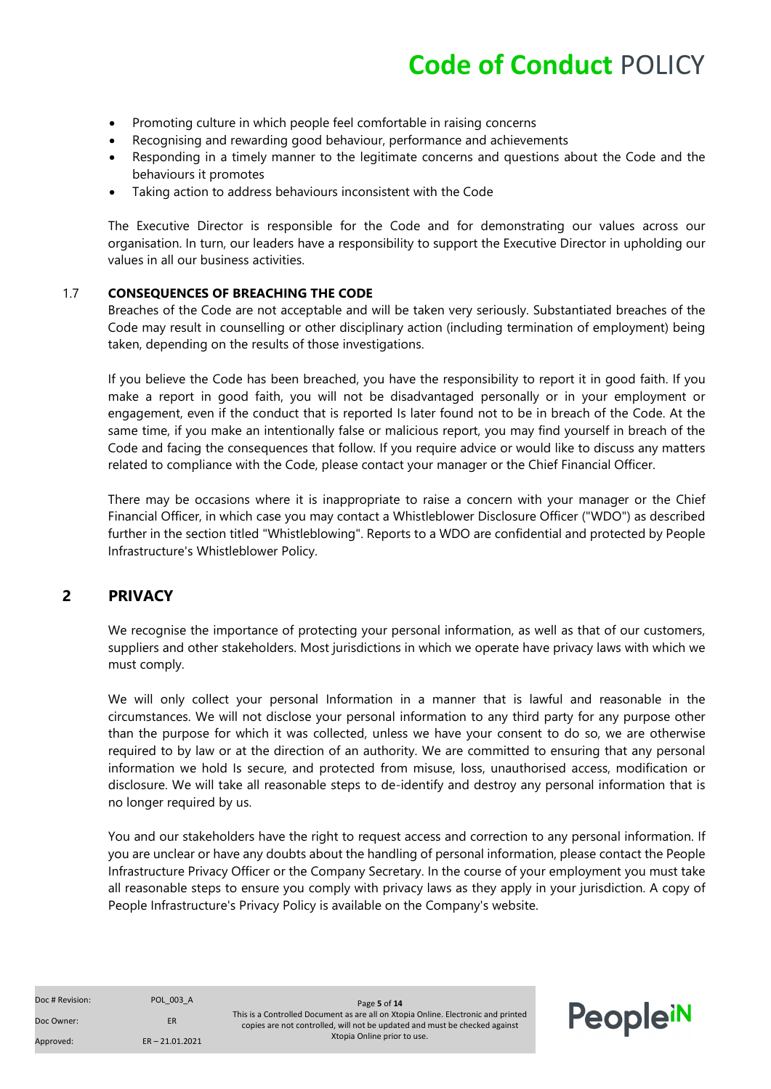- Promoting culture in which people feel comfortable in raising concerns
- Recognising and rewarding good behaviour, performance and achievements
- Responding in a timely manner to the legitimate concerns and questions about the Code and the behaviours it promotes
- Taking action to address behaviours inconsistent with the Code

The Executive Director is responsible for the Code and for demonstrating our values across our organisation. In turn, our leaders have a responsibility to support the Executive Director in upholding our values in all our business activities.

#### <span id="page-4-0"></span>1.7 **CONSEQUENCES OF BREACHING THE CODE**

Breaches of the Code are not acceptable and will be taken very seriously. Substantiated breaches of the Code may result in counselling or other disciplinary action (including termination of employment) being taken, depending on the results of those investigations.

If you believe the Code has been breached, you have the responsibility to report it in good faith. If you make a report in good faith, you will not be disadvantaged personally or in your employment or engagement, even if the conduct that is reported Is later found not to be in breach of the Code. At the same time, if you make an intentionally false or malicious report, you may find yourself in breach of the Code and facing the consequences that follow. If you require advice or would like to discuss any matters related to compliance with the Code, please contact your manager or the Chief Financial Officer.

There may be occasions where it is inappropriate to raise a concern with your manager or the Chief Financial Officer, in which case you may contact a Whistleblower Disclosure Officer ("WDO") as described further in the section titled "Whistleblowing". Reports to a WDO are confidential and protected by People Infrastructure's Whistleblower Policy.

#### <span id="page-4-1"></span>**2 PRIVACY**

We recognise the importance of protecting your personal information, as well as that of our customers, suppliers and other stakeholders. Most jurisdictions in which we operate have privacy laws with which we must comply.

We will only collect your personal Information in a manner that is lawful and reasonable in the circumstances. We will not disclose your personal information to any third party for any purpose other than the purpose for which it was collected, unless we have your consent to do so, we are otherwise required to by law or at the direction of an authority. We are committed to ensuring that any personal information we hold Is secure, and protected from misuse, loss, unauthorised access, modification or disclosure. We will take all reasonable steps to de-identify and destroy any personal information that is no longer required by us.

You and our stakeholders have the right to request access and correction to any personal information. If you are unclear or have any doubts about the handling of personal information, please contact the People Infrastructure Privacy Officer or the Company Secretary. In the course of your employment you must take all reasonable steps to ensure you comply with privacy laws as they apply in your jurisdiction. A copy of People Infrastructure's Privacy Policy is available on the Company's website.

| Doc # Revision: |  |
|-----------------|--|
|                 |  |

Doc # Revision: POL\_003\_A Page **5** of **14** This is a Controlled Document as are all on Xtopia Online. Electronic and printed copies are not controlled, will not be updated and must be checked against Xtopia Online prior to use.

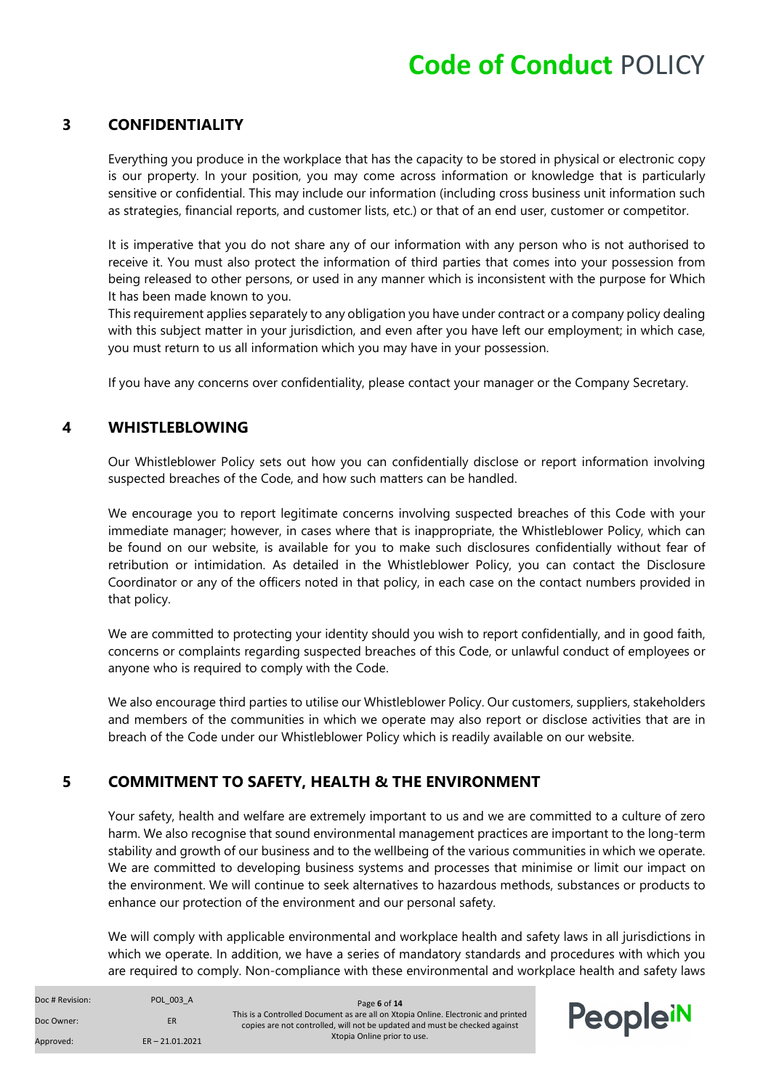#### <span id="page-5-0"></span>**3 CONFIDENTIALITY**

Everything you produce in the workplace that has the capacity to be stored in physical or electronic copy is our property. In your position, you may come across information or knowledge that is particularly sensitive or confidential. This may include our information (including cross business unit information such as strategies, financial reports, and customer lists, etc.) or that of an end user, customer or competitor.

It is imperative that you do not share any of our information with any person who is not authorised to receive it. You must also protect the information of third parties that comes into your possession from being released to other persons, or used in any manner which is inconsistent with the purpose for Which It has been made known to you.

This requirement applies separately to any obligation you have under contract or a company policy dealing with this subject matter in your jurisdiction, and even after you have left our employment; in which case, you must return to us all information which you may have in your possession.

If you have any concerns over confidentiality, please contact your manager or the Company Secretary.

#### <span id="page-5-1"></span>**4 WHISTLEBLOWING**

Our Whistleblower Policy sets out how you can confidentially disclose or report information involving suspected breaches of the Code, and how such matters can be handled.

We encourage you to report legitimate concerns involving suspected breaches of this Code with your immediate manager; however, in cases where that is inappropriate, the Whistleblower Policy, which can be found on our website, is available for you to make such disclosures confidentially without fear of retribution or intimidation. As detailed in the Whistleblower Policy, you can contact the Disclosure Coordinator or any of the officers noted in that policy, in each case on the contact numbers provided in that policy.

We are committed to protecting your identity should you wish to report confidentially, and in good faith, concerns or complaints regarding suspected breaches of this Code, or unlawful conduct of employees or anyone who is required to comply with the Code.

We also encourage third parties to utilise our Whistleblower Policy. Our customers, suppliers, stakeholders and members of the communities in which we operate may also report or disclose activities that are in breach of the Code under our Whistleblower Policy which is readily available on our website.

#### <span id="page-5-2"></span>**5 COMMITMENT TO SAFETY, HEALTH & THE ENVIRONMENT**

Your safety, health and welfare are extremely important to us and we are committed to a culture of zero harm. We also recognise that sound environmental management practices are important to the long-term stability and growth of our business and to the wellbeing of the various communities in which we operate. We are committed to developing business systems and processes that minimise or limit our impact on the environment. We will continue to seek alternatives to hazardous methods, substances or products to enhance our protection of the environment and our personal safety.

We will comply with applicable environmental and workplace health and safety laws in all jurisdictions in which we operate. In addition, we have a series of mandatory standards and procedures with which you are required to comply. Non-compliance with these environmental and workplace health and safety laws

| Doc # Revision: | POL 003 A         | Page 6 of 14                                                                                                                                                    |          |
|-----------------|-------------------|-----------------------------------------------------------------------------------------------------------------------------------------------------------------|----------|
| Doc Owner:      | ER                | This is a Controlled Document as are all on Xtopia Online. Electronic and printed<br>copies are not controlled, will not be updated and must be checked against | PeopleiN |
| Approved:       | $ER - 21.01.2021$ | Xtopia Online prior to use.                                                                                                                                     |          |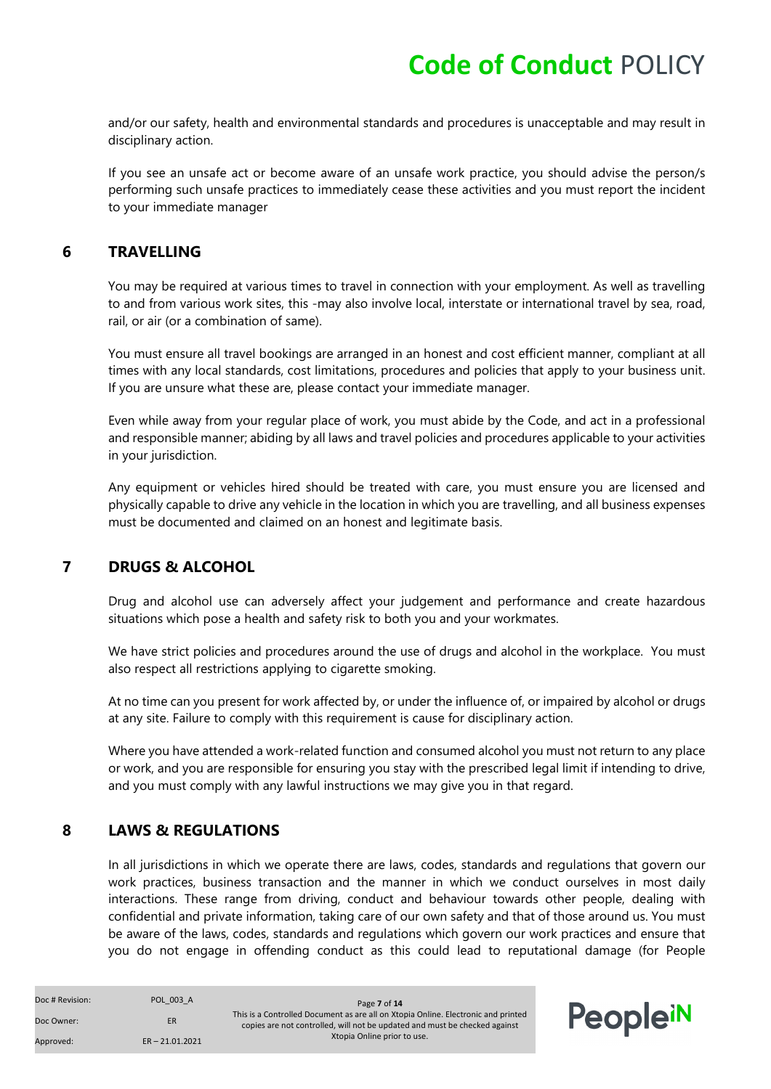and/or our safety, health and environmental standards and procedures is unacceptable and may result in disciplinary action.

If you see an unsafe act or become aware of an unsafe work practice, you should advise the person/s performing such unsafe practices to immediately cease these activities and you must report the incident to your immediate manager

#### <span id="page-6-0"></span>**6 TRAVELLING**

You may be required at various times to travel in connection with your employment. As well as travelling to and from various work sites, this -may also involve local, interstate or international travel by sea, road, rail, or air (or a combination of same).

You must ensure all travel bookings are arranged in an honest and cost efficient manner, compliant at all times with any local standards, cost limitations, procedures and policies that apply to your business unit. If you are unsure what these are, please contact your immediate manager.

Even while away from your regular place of work, you must abide by the Code, and act in a professional and responsible manner; abiding by all laws and travel policies and procedures applicable to your activities in your jurisdiction.

Any equipment or vehicles hired should be treated with care, you must ensure you are licensed and physically capable to drive any vehicle in the location in which you are travelling, and all business expenses must be documented and claimed on an honest and legitimate basis.

#### <span id="page-6-1"></span>**7 DRUGS & ALCOHOL**

Drug and alcohol use can adversely affect your judgement and performance and create hazardous situations which pose a health and safety risk to both you and your workmates.

We have strict policies and procedures around the use of drugs and alcohol in the workplace. You must also respect all restrictions applying to cigarette smoking.

At no time can you present for work affected by, or under the influence of, or impaired by alcohol or drugs at any site. Failure to comply with this requirement is cause for disciplinary action.

Where you have attended a work-related function and consumed alcohol you must not return to any place or work, and you are responsible for ensuring you stay with the prescribed legal limit if intending to drive, and you must comply with any lawful instructions we may give you in that regard.

#### <span id="page-6-2"></span>**8 LAWS & REGULATIONS**

In all jurisdictions in which we operate there are laws, codes, standards and regulations that govern our work practices, business transaction and the manner in which we conduct ourselves in most daily interactions. These range from driving, conduct and behaviour towards other people, dealing with confidential and private information, taking care of our own safety and that of those around us. You must be aware of the laws, codes, standards and regulations which govern our work practices and ensure that you do not engage in offending conduct as this could lead to reputational damage (for People

| Doc # Revision: | POL 003 A         | Page 7 of 14                                                                                                                                                    |          |
|-----------------|-------------------|-----------------------------------------------------------------------------------------------------------------------------------------------------------------|----------|
| Doc Owner:      | ER                | This is a Controlled Document as are all on Xtopia Online. Electronic and printed<br>copies are not controlled, will not be updated and must be checked against | PeopleiN |
| Approved:       | $ER - 21.01.2021$ | Xtopia Online prior to use.                                                                                                                                     |          |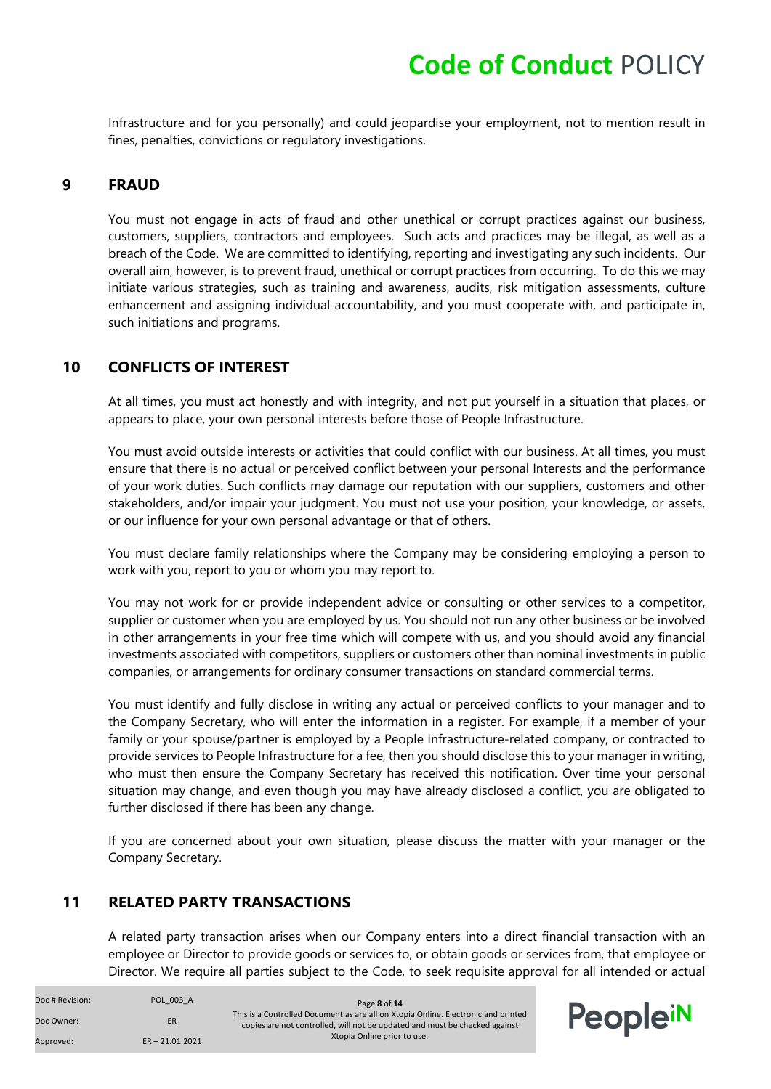Infrastructure and for you personally) and could jeopardise your employment, not to mention result in fines, penalties, convictions or regulatory investigations.

#### <span id="page-7-0"></span>**9 FRAUD**

You must not engage in acts of fraud and other unethical or corrupt practices against our business, customers, suppliers, contractors and employees. Such acts and practices may be illegal, as well as a breach of the Code. We are committed to identifying, reporting and investigating any such incidents. Our overall aim, however, is to prevent fraud, unethical or corrupt practices from occurring. To do this we may initiate various strategies, such as training and awareness, audits, risk mitigation assessments, culture enhancement and assigning individual accountability, and you must cooperate with, and participate in, such initiations and programs.

#### <span id="page-7-1"></span>**10 CONFLICTS OF INTEREST**

At all times, you must act honestly and with integrity, and not put yourself in a situation that places, or appears to place, your own personal interests before those of People Infrastructure.

You must avoid outside interests or activities that could conflict with our business. At all times, you must ensure that there is no actual or perceived conflict between your personal Interests and the performance of your work duties. Such conflicts may damage our reputation with our suppliers, customers and other stakeholders, and/or impair your judgment. You must not use your position, your knowledge, or assets, or our influence for your own personal advantage or that of others.

You must declare family relationships where the Company may be considering employing a person to work with you, report to you or whom you may report to.

You may not work for or provide independent advice or consulting or other services to a competitor, supplier or customer when you are employed by us. You should not run any other business or be involved in other arrangements in your free time which will compete with us, and you should avoid any financial investments associated with competitors, suppliers or customers other than nominal investments in public companies, or arrangements for ordinary consumer transactions on standard commercial terms.

You must identify and fully disclose in writing any actual or perceived conflicts to your manager and to the Company Secretary, who will enter the information in a register. For example, if a member of your family or your spouse/partner is employed by a People Infrastructure-related company, or contracted to provide services to People Infrastructure for a fee, then you should disclose this to your manager in writing, who must then ensure the Company Secretary has received this notification. Over time your personal situation may change, and even though you may have already disclosed a conflict, you are obligated to further disclosed if there has been any change.

If you are concerned about your own situation, please discuss the matter with your manager or the Company Secretary.

#### <span id="page-7-2"></span>**11 RELATED PARTY TRANSACTIONS**

A related party transaction arises when our Company enters into a direct financial transaction with an employee or Director to provide goods or services to, or obtain goods or services from, that employee or Director. We require all parties subject to the Code, to seek requisite approval for all intended or actual

| Doc # Revision: | POL 003 A         | Page 8 of 14                                                                                                                                                    |          |
|-----------------|-------------------|-----------------------------------------------------------------------------------------------------------------------------------------------------------------|----------|
| Doc Owner:      | <b>ER</b>         | This is a Controlled Document as are all on Xtopia Online. Electronic and printed<br>copies are not controlled, will not be updated and must be checked against | PeopleiN |
| Approved:       | $ER - 21.01.2021$ | Xtopia Online prior to use.                                                                                                                                     |          |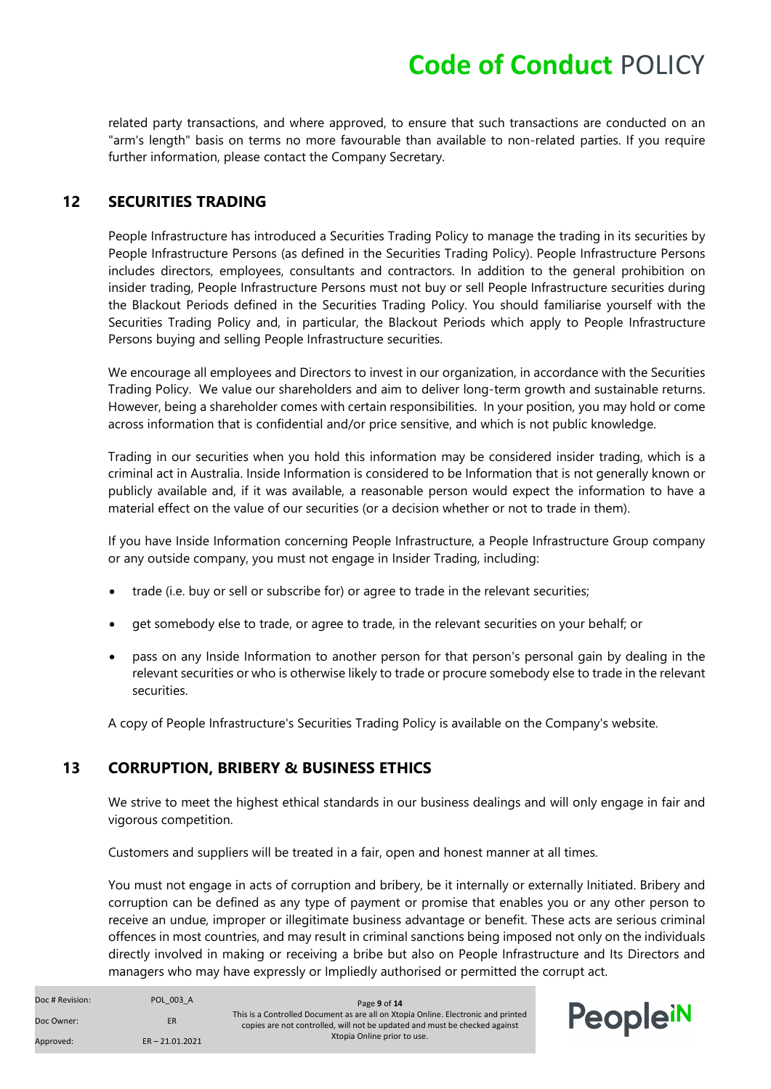related party transactions, and where approved, to ensure that such transactions are conducted on an "arm's length" basis on terms no more favourable than available to non-related parties. If you require further information, please contact the Company Secretary.

#### <span id="page-8-0"></span>**12 SECURITIES TRADING**

People Infrastructure has introduced a Securities Trading Policy to manage the trading in its securities by People Infrastructure Persons (as defined in the Securities Trading Policy). People Infrastructure Persons includes directors, employees, consultants and contractors. In addition to the general prohibition on insider trading, People Infrastructure Persons must not buy or sell People Infrastructure securities during the Blackout Periods defined in the Securities Trading Policy. You should familiarise yourself with the Securities Trading Policy and, in particular, the Blackout Periods which apply to People Infrastructure Persons buying and selling People Infrastructure securities.

We encourage all employees and Directors to invest in our organization, in accordance with the Securities Trading Policy. We value our shareholders and aim to deliver long-term growth and sustainable returns. However, being a shareholder comes with certain responsibilities. In your position, you may hold or come across information that is confidential and/or price sensitive, and which is not public knowledge.

Trading in our securities when you hold this information may be considered insider trading, which is a criminal act in Australia. Inside Information is considered to be Information that is not generally known or publicly available and, if it was available, a reasonable person would expect the information to have a material effect on the value of our securities (or a decision whether or not to trade in them).

If you have Inside Information concerning People Infrastructure, a People Infrastructure Group company or any outside company, you must not engage in Insider Trading, including:

- trade (i.e. buy or sell or subscribe for) or agree to trade in the relevant securities;
- get somebody else to trade, or agree to trade, in the relevant securities on your behalf; or
- pass on any Inside Information to another person for that person's personal gain by dealing in the relevant securities or who is otherwise likely to trade or procure somebody else to trade in the relevant securities.

A copy of People Infrastructure's Securities Trading Policy is available on the Company's website.

#### <span id="page-8-1"></span>**13 CORRUPTION, BRIBERY & BUSINESS ETHICS**

We strive to meet the highest ethical standards in our business dealings and will only engage in fair and vigorous competition.

Customers and suppliers will be treated in a fair, open and honest manner at all times.

You must not engage in acts of corruption and bribery, be it internally or externally Initiated. Bribery and corruption can be defined as any type of payment or promise that enables you or any other person to receive an undue, improper or illegitimate business advantage or benefit. These acts are serious criminal offences in most countries, and may result in criminal sanctions being imposed not only on the individuals directly involved in making or receiving a bribe but also on People Infrastructure and Its Directors and managers who may have expressly or Impliedly authorised or permitted the corrupt act.

| Doc # Revision: | POL 003 A         | Page 9 of 14                                                                                                                                                    |          |
|-----------------|-------------------|-----------------------------------------------------------------------------------------------------------------------------------------------------------------|----------|
| Doc Owner:      | <b>ER</b>         | This is a Controlled Document as are all on Xtopia Online. Electronic and printed<br>copies are not controlled, will not be updated and must be checked against | PeopleiN |
| Approved:       | $ER - 21.01.2021$ | Xtopia Online prior to use.                                                                                                                                     |          |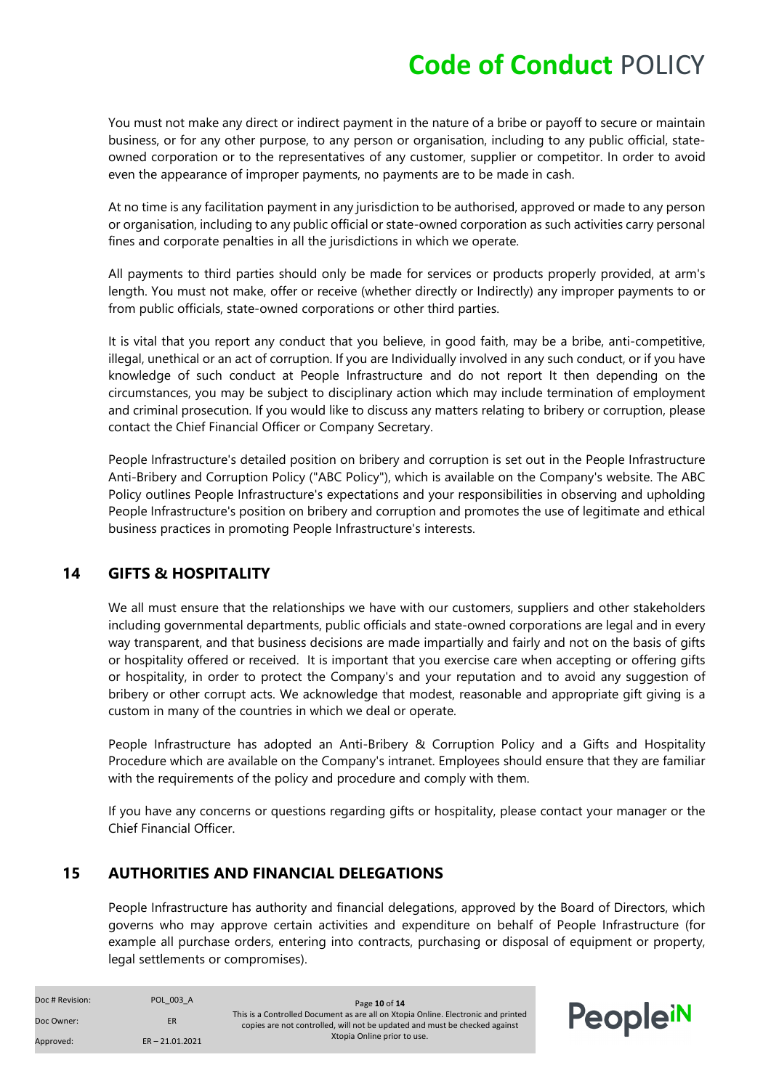You must not make any direct or indirect payment in the nature of a bribe or payoff to secure or maintain business, or for any other purpose, to any person or organisation, including to any public official, stateowned corporation or to the representatives of any customer, supplier or competitor. In order to avoid even the appearance of improper payments, no payments are to be made in cash.

At no time is any facilitation payment in any jurisdiction to be authorised, approved or made to any person or organisation, including to any public official or state-owned corporation as such activities carry personal fines and corporate penalties in all the jurisdictions in which we operate.

All payments to third parties should only be made for services or products properly provided, at arm's length. You must not make, offer or receive (whether directly or Indirectly) any improper payments to or from public officials, state-owned corporations or other third parties.

It is vital that you report any conduct that you believe, in good faith, may be a bribe, anti-competitive, illegal, unethical or an act of corruption. If you are Individually involved in any such conduct, or if you have knowledge of such conduct at People Infrastructure and do not report It then depending on the circumstances, you may be subject to disciplinary action which may include termination of employment and criminal prosecution. If you would like to discuss any matters relating to bribery or corruption, please contact the Chief Financial Officer or Company Secretary.

People Infrastructure's detailed position on bribery and corruption is set out in the People Infrastructure Anti-Bribery and Corruption Policy ("ABC Policy"), which is available on the Company's website. The ABC Policy outlines People Infrastructure's expectations and your responsibilities in observing and upholding People Infrastructure's position on bribery and corruption and promotes the use of legitimate and ethical business practices in promoting People Infrastructure's interests.

#### <span id="page-9-0"></span>**14 GIFTS & HOSPITALITY**

We all must ensure that the relationships we have with our customers, suppliers and other stakeholders including governmental departments, public officials and state-owned corporations are legal and in every way transparent, and that business decisions are made impartially and fairly and not on the basis of gifts or hospitality offered or received. It is important that you exercise care when accepting or offering gifts or hospitality, in order to protect the Company's and your reputation and to avoid any suggestion of bribery or other corrupt acts. We acknowledge that modest, reasonable and appropriate gift giving is a custom in many of the countries in which we deal or operate.

People Infrastructure has adopted an Anti-Bribery & Corruption Policy and a Gifts and Hospitality Procedure which are available on the Company's intranet. Employees should ensure that they are familiar with the requirements of the policy and procedure and comply with them.

If you have any concerns or questions regarding gifts or hospitality, please contact your manager or the Chief Financial Officer.

#### <span id="page-9-1"></span>**15 AUTHORITIES AND FINANCIAL DELEGATIONS**

People Infrastructure has authority and financial delegations, approved by the Board of Directors, which governs who may approve certain activities and expenditure on behalf of People Infrastructure (for example all purchase orders, entering into contracts, purchasing or disposal of equipment or property, legal settlements or compromises).

| Doc # Revision: | POL 003 A         | Page 10 of 14                                                                                                                                                   |          |
|-----------------|-------------------|-----------------------------------------------------------------------------------------------------------------------------------------------------------------|----------|
| Doc Owner:      | ER                | This is a Controlled Document as are all on Xtopia Online. Electronic and printed<br>copies are not controlled, will not be updated and must be checked against | PeopleiN |
| Approved:       | $ER - 21.01.2021$ | Xtopia Online prior to use.                                                                                                                                     |          |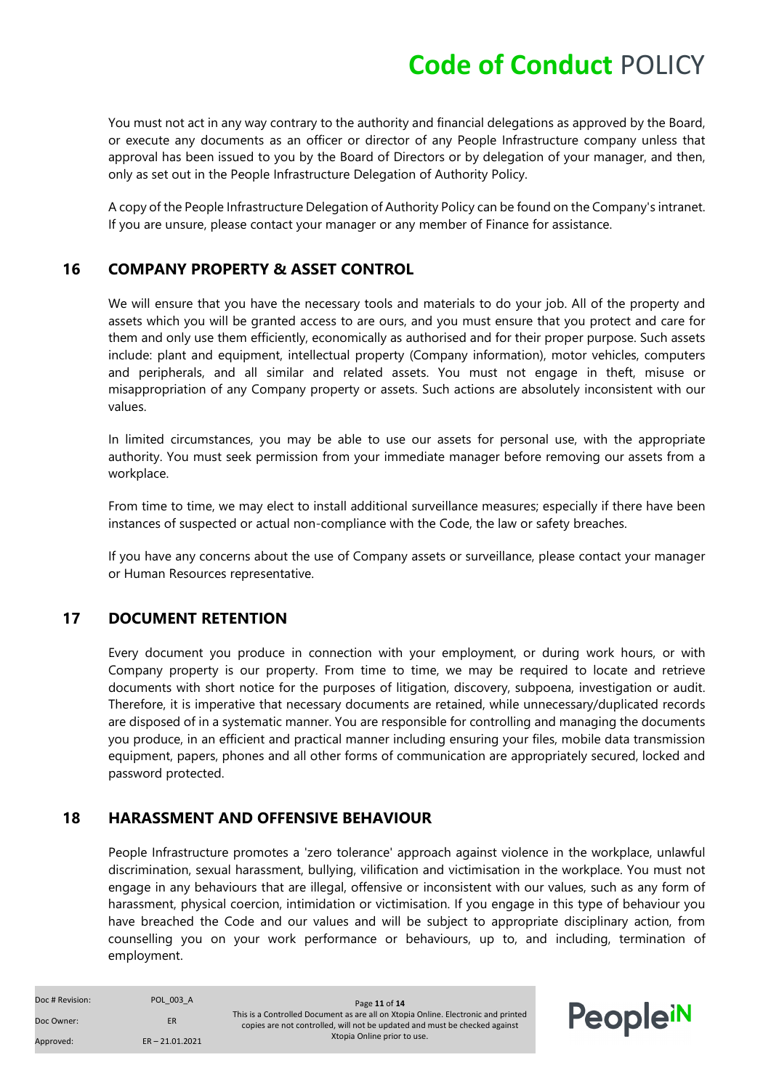You must not act in any way contrary to the authority and financial delegations as approved by the Board, or execute any documents as an officer or director of any People Infrastructure company unless that approval has been issued to you by the Board of Directors or by delegation of your manager, and then, only as set out in the People Infrastructure Delegation of Authority Policy.

A copy of the People Infrastructure Delegation of Authority Policy can be found on the Company's intranet. If you are unsure, please contact your manager or any member of Finance for assistance.

#### <span id="page-10-0"></span>**16 COMPANY PROPERTY & ASSET CONTROL**

We will ensure that you have the necessary tools and materials to do your job. All of the property and assets which you will be granted access to are ours, and you must ensure that you protect and care for them and only use them efficiently, economically as authorised and for their proper purpose. Such assets include: plant and equipment, intellectual property (Company information), motor vehicles, computers and peripherals, and all similar and related assets. You must not engage in theft, misuse or misappropriation of any Company property or assets. Such actions are absolutely inconsistent with our values.

In limited circumstances, you may be able to use our assets for personal use, with the appropriate authority. You must seek permission from your immediate manager before removing our assets from a workplace.

From time to time, we may elect to install additional surveillance measures; especially if there have been instances of suspected or actual non-compliance with the Code, the law or safety breaches.

If you have any concerns about the use of Company assets or surveillance, please contact your manager or Human Resources representative.

#### <span id="page-10-1"></span>**17 DOCUMENT RETENTION**

Every document you produce in connection with your employment, or during work hours, or with Company property is our property. From time to time, we may be required to locate and retrieve documents with short notice for the purposes of litigation, discovery, subpoena, investigation or audit. Therefore, it is imperative that necessary documents are retained, while unnecessary/duplicated records are disposed of in a systematic manner. You are responsible for controlling and managing the documents you produce, in an efficient and practical manner including ensuring your files, mobile data transmission equipment, papers, phones and all other forms of communication are appropriately secured, locked and password protected.

#### <span id="page-10-2"></span>**18 HARASSMENT AND OFFENSIVE BEHAVIOUR**

People Infrastructure promotes a 'zero tolerance' approach against violence in the workplace, unlawful discrimination, sexual harassment, bullying, vilification and victimisation in the workplace. You must not engage in any behaviours that are illegal, offensive or inconsistent with our values, such as any form of harassment, physical coercion, intimidation or victimisation. If you engage in this type of behaviour you have breached the Code and our values and will be subject to appropriate disciplinary action, from counselling you on your work performance or behaviours, up to, and including, termination of employment.

| Doc # Revision: | POL 003 A         | Page 11 of 14                                                                                                                                                   |          |
|-----------------|-------------------|-----------------------------------------------------------------------------------------------------------------------------------------------------------------|----------|
| Doc Owner:      | <b>ER</b>         | This is a Controlled Document as are all on Xtopia Online. Electronic and printed<br>copies are not controlled, will not be updated and must be checked against | PeopleiN |
| Approved:       | $ER - 21.01.2021$ | Xtopia Online prior to use.                                                                                                                                     |          |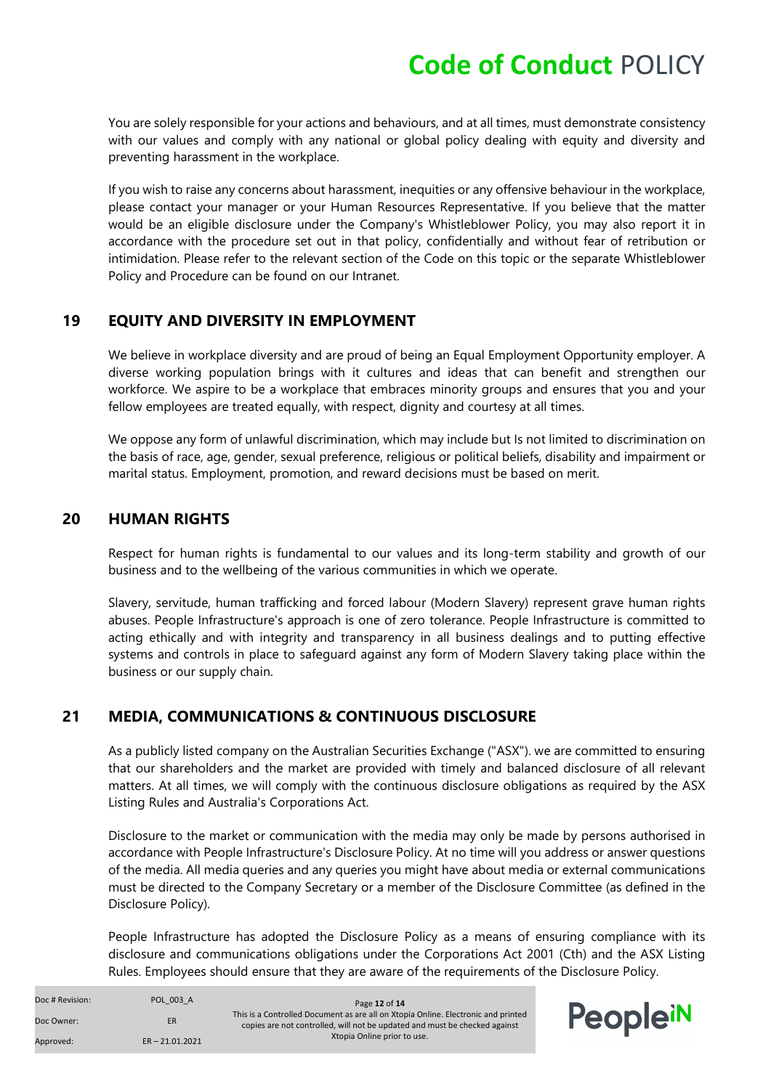You are solely responsible for your actions and behaviours, and at all times, must demonstrate consistency with our values and comply with any national or global policy dealing with equity and diversity and preventing harassment in the workplace.

If you wish to raise any concerns about harassment, inequities or any offensive behaviour in the workplace, please contact your manager or your Human Resources Representative. If you believe that the matter would be an eligible disclosure under the Company's Whistleblower Policy, you may also report it in accordance with the procedure set out in that policy, confidentially and without fear of retribution or intimidation. Please refer to the relevant section of the Code on this topic or the separate Whistleblower Policy and Procedure can be found on our Intranet.

#### <span id="page-11-0"></span>**19 EQUITY AND DIVERSITY IN EMPLOYMENT**

We believe in workplace diversity and are proud of being an Equal Employment Opportunity employer. A diverse working population brings with it cultures and ideas that can benefit and strengthen our workforce. We aspire to be a workplace that embraces minority groups and ensures that you and your fellow employees are treated equally, with respect, dignity and courtesy at all times.

We oppose any form of unlawful discrimination, which may include but Is not limited to discrimination on the basis of race, age, gender, sexual preference, religious or political beliefs, disability and impairment or marital status. Employment, promotion, and reward decisions must be based on merit.

#### <span id="page-11-1"></span>**20 HUMAN RIGHTS**

Respect for human rights is fundamental to our values and its long-term stability and growth of our business and to the wellbeing of the various communities in which we operate.

Slavery, servitude, human trafficking and forced labour (Modern Slavery) represent grave human rights abuses. People Infrastructure's approach is one of zero tolerance. People Infrastructure is committed to acting ethically and with integrity and transparency in all business dealings and to putting effective systems and controls in place to safeguard against any form of Modern Slavery taking place within the business or our supply chain.

#### <span id="page-11-2"></span>**21 MEDIA, COMMUNICATIONS & CONTINUOUS DISCLOSURE**

As a publicly listed company on the Australian Securities Exchange ("ASX"). we are committed to ensuring that our shareholders and the market are provided with timely and balanced disclosure of all relevant matters. At all times, we will comply with the continuous disclosure obligations as required by the ASX Listing Rules and Australia's Corporations Act.

Disclosure to the market or communication with the media may only be made by persons authorised in accordance with People Infrastructure's Disclosure Policy. At no time will you address or answer questions of the media. All media queries and any queries you might have about media or external communications must be directed to the Company Secretary or a member of the Disclosure Committee (as defined in the Disclosure Policy).

People Infrastructure has adopted the Disclosure Policy as a means of ensuring compliance with its disclosure and communications obligations under the Corporations Act 2001 (Cth) and the ASX Listing Rules. Employees should ensure that they are aware of the requirements of the Disclosure Policy.

| Doc # Revision: | POL 003 A         | Page 12 of 14                                                                                                                                                   |          |
|-----------------|-------------------|-----------------------------------------------------------------------------------------------------------------------------------------------------------------|----------|
| Doc Owner:      | ER                | This is a Controlled Document as are all on Xtopia Online. Electronic and printed<br>copies are not controlled, will not be updated and must be checked against | PeopleiN |
| Approved:       | $ER - 21.01.2021$ | Xtopia Online prior to use.                                                                                                                                     |          |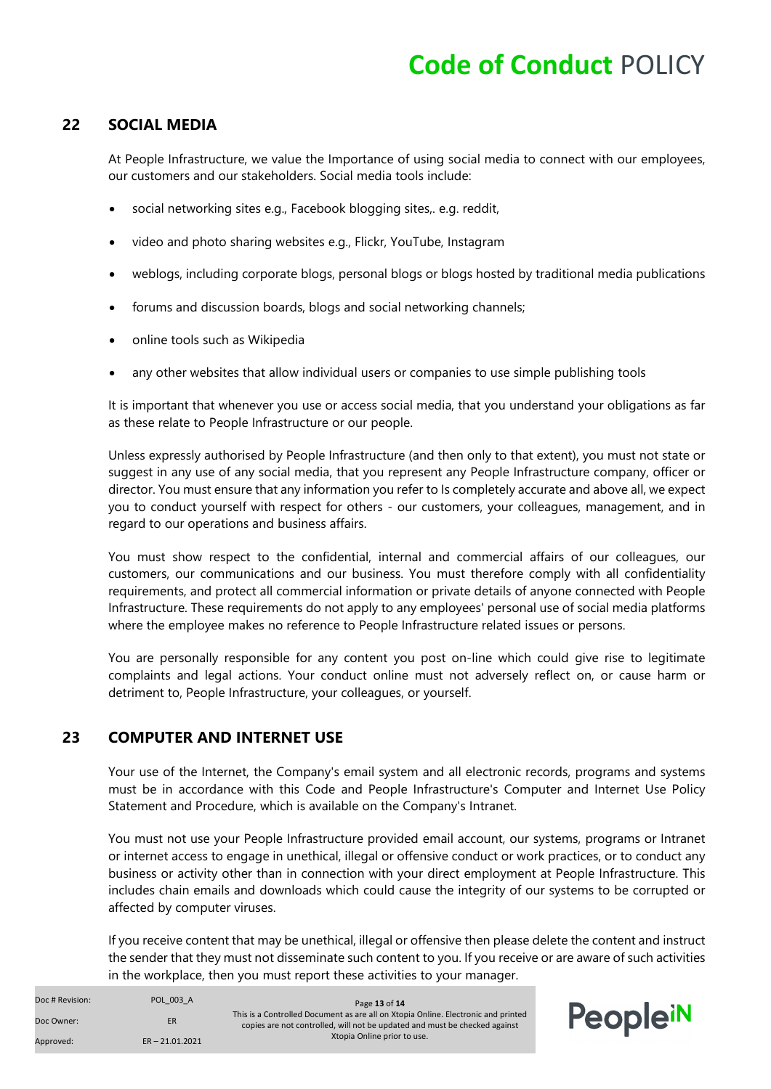#### <span id="page-12-0"></span>**22 SOCIAL MEDIA**

At People Infrastructure, we value the Importance of using social media to connect with our employees, our customers and our stakeholders. Social media tools include:

- social networking sites e.g., Facebook blogging sites,. e.g. reddit,
- video and photo sharing websites e.g., Flickr, YouTube, Instagram
- weblogs, including corporate blogs, personal blogs or blogs hosted by traditional media publications
- forums and discussion boards, blogs and social networking channels;
- online tools such as Wikipedia
- any other websites that allow individual users or companies to use simple publishing tools

It is important that whenever you use or access social media, that you understand your obligations as far as these relate to People Infrastructure or our people.

Unless expressly authorised by People Infrastructure (and then only to that extent), you must not state or suggest in any use of any social media, that you represent any People Infrastructure company, officer or director. You must ensure that any information you refer to Is completely accurate and above all, we expect you to conduct yourself with respect for others - our customers, your colleagues, management, and in regard to our operations and business affairs.

You must show respect to the confidential, internal and commercial affairs of our colleagues, our customers, our communications and our business. You must therefore comply with all confidentiality requirements, and protect all commercial information or private details of anyone connected with People Infrastructure. These requirements do not apply to any employees' personal use of social media platforms where the employee makes no reference to People Infrastructure related issues or persons.

You are personally responsible for any content you post on-line which could give rise to legitimate complaints and legal actions. Your conduct online must not adversely reflect on, or cause harm or detriment to, People Infrastructure, your colleagues, or yourself.

#### <span id="page-12-1"></span>**23 COMPUTER AND INTERNET USE**

Your use of the Internet, the Company's email system and all electronic records, programs and systems must be in accordance with this Code and People Infrastructure's Computer and Internet Use Policy Statement and Procedure, which is available on the Company's Intranet.

You must not use your People Infrastructure provided email account, our systems, programs or Intranet or internet access to engage in unethical, illegal or offensive conduct or work practices, or to conduct any business or activity other than in connection with your direct employment at People Infrastructure. This includes chain emails and downloads which could cause the integrity of our systems to be corrupted or affected by computer viruses.

If you receive content that may be unethical, illegal or offensive then please delete the content and instruct the sender that they must not disseminate such content to you. If you receive or are aware of such activities in the workplace, then you must report these activities to your manager.

| Doc # Revision: | POL 003 A         | Page 13 of 14                                                                                                                                                   |          |
|-----------------|-------------------|-----------------------------------------------------------------------------------------------------------------------------------------------------------------|----------|
| Doc Owner:      | ER                | This is a Controlled Document as are all on Xtopia Online. Electronic and printed<br>copies are not controlled, will not be updated and must be checked against | Peoplein |
| Approved:       | $ER - 21.01.2021$ | Xtopia Online prior to use.                                                                                                                                     |          |